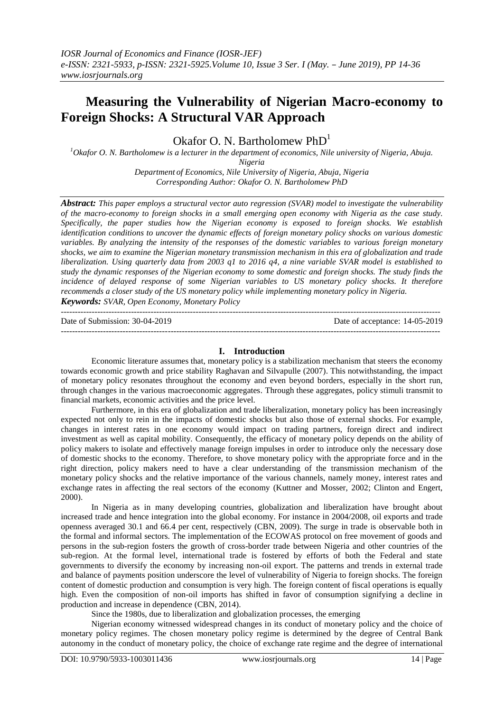## (1997)**Measuring the Vulnerability of Nigerian Macro-economy to Foreign Shocks: A Structural VAR Approach**

Okafor O. N. Bartholomew  $PhD<sup>1</sup>$ 

*<sup>1</sup>Okafor O. N. Bartholomew is a lecturer in the department of economics, Nile university of Nigeria, Abuja.* 

*Nigeria*

*Department of Economics, Nile University of Nigeria, Abuja, Nigeria Corresponding Author: Okafor O. N. Bartholomew PhD*

*Abstract: This paper employs a structural vector auto regression (SVAR) model to investigate the vulnerability of the macro-economy to foreign shocks in a small emerging open economy with Nigeria as the case study. Specifically, the paper studies how the Nigerian economy is exposed to foreign shocks. We establish identification conditions to uncover the dynamic effects of foreign monetary policy shocks on various domestic variables. By analyzing the intensity of the responses of the domestic variables to various foreign monetary shocks, we aim to examine the Nigerian monetary transmission mechanism in this era of globalization and trade liberalization. Using quarterly data from 2003 q1 to 2016 q4, a nine variable SVAR model is established to study the dynamic responses of the Nigerian economy to some domestic and foreign shocks. The study finds the incidence of delayed response of some Nigerian variables to US monetary policy shocks. It therefore recommends a closer study of the US monetary policy while implementing monetary policy in Nigeria.* 

*Keywords: SVAR, Open Economy, Monetary Policy* ---------------------------------------------------------------------------------------------------------------------------------------

Date of Submission: 30-04-2019 Date of acceptance: 14-05-2019 ---------------------------------------------------------------------------------------------------------------------------------------

### **I. Introduction**

Economic literature assumes that, monetary policy is a stabilization mechanism that steers the economy towards economic growth and price stability Raghavan and Silvapulle (2007). This notwithstanding, the impact of monetary policy resonates throughout the economy and even beyond borders, especially in the short run, through changes in the various macroeconomic aggregates. Through these aggregates, policy stimuli transmit to financial markets, economic activities and the price level.

Furthermore, in this era of globalization and trade liberalization, monetary policy has been increasingly expected not only to rein in the impacts of domestic shocks but also those of external shocks. For example, changes in interest rates in one economy would impact on trading partners, foreign direct and indirect investment as well as capital mobility. Consequently, the efficacy of monetary policy depends on the ability of policy makers to isolate and effectively manage foreign impulses in order to introduce only the necessary dose of domestic shocks to the economy. Therefore, to shove monetary policy with the appropriate force and in the right direction, policy makers need to have a clear understanding of the transmission mechanism of the monetary policy shocks and the relative importance of the various channels, namely money, interest rates and exchange rates in affecting the real sectors of the economy (Kuttner and Mosser, 2002; Clinton and Engert, 2000).

In Nigeria as in many developing countries, globalization and liberalization have brought about increased trade and hence integration into the global economy. For instance in 2004/2008, oil exports and trade openness averaged 30.1 and 66.4 per cent, respectively (CBN, 2009). The surge in trade is observable both in the formal and informal sectors. The implementation of the ECOWAS protocol on free movement of goods and persons in the sub-region fosters the growth of cross-border trade between Nigeria and other countries of the sub-region. At the formal level, international trade is fostered by efforts of both the Federal and state governments to diversify the economy by increasing non-oil export. The patterns and trends in external trade and balance of payments position underscore the level of vulnerability of Nigeria to foreign shocks. The foreign content of domestic production and consumption is very high. The foreign content of fiscal operations is equally high. Even the composition of non-oil imports has shifted in favor of consumption signifying a decline in production and increase in dependence (CBN, 2014).

Since the 1980s, due to liberalization and globalization processes, the emerging

Nigerian economy witnessed widespread changes in its conduct of monetary policy and the choice of monetary policy regimes. The chosen monetary policy regime is determined by the degree of Central Bank autonomy in the conduct of monetary policy, the choice of exchange rate regime and the degree of international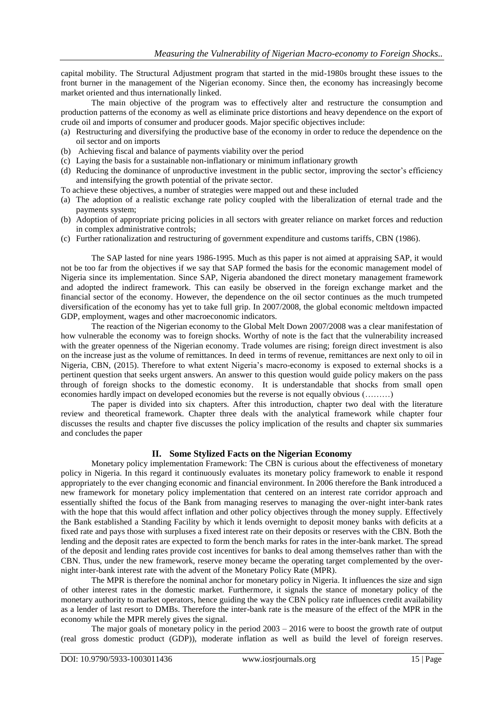capital mobility. The Structural Adjustment program that started in the mid-1980s brought these issues to the front burner in the management of the Nigerian economy. Since then, the economy has increasingly become market oriented and thus internationally linked.

The main objective of the program was to effectively alter and restructure the consumption and production patterns of the economy as well as eliminate price distortions and heavy dependence on the export of crude oil and imports of consumer and producer goods. Major specific objectives include:

- (a) Restructuring and diversifying the productive base of the economy in order to reduce the dependence on the oil sector and on imports
- (b) Achieving fiscal and balance of payments viability over the period
- (c) Laying the basis for a sustainable non-inflationary or minimum inflationary growth
- (d) Reducing the dominance of unproductive investment in the public sector, improving the sector"s efficiency and intensifying the growth potential of the private sector.
- To achieve these objectives, a number of strategies were mapped out and these included
- (a) The adoption of a realistic exchange rate policy coupled with the liberalization of eternal trade and the payments system;
- (b) Adoption of appropriate pricing policies in all sectors with greater reliance on market forces and reduction in complex administrative controls;
- (c) Further rationalization and restructuring of government expenditure and customs tariffs, CBN (1986).

The SAP lasted for nine years 1986-1995. Much as this paper is not aimed at appraising SAP, it would not be too far from the objectives if we say that SAP formed the basis for the economic management model of Nigeria since its implementation. Since SAP, Nigeria abandoned the direct monetary management framework and adopted the indirect framework. This can easily be observed in the foreign exchange market and the financial sector of the economy. However, the dependence on the oil sector continues as the much trumpeted diversification of the economy has yet to take full grip. In 2007/2008, the global economic meltdown impacted GDP, employment, wages and other macroeconomic indicators.

The reaction of the Nigerian economy to the Global Melt Down 2007/2008 was a clear manifestation of how vulnerable the economy was to foreign shocks. Worthy of note is the fact that the vulnerability increased with the greater openness of the Nigerian economy. Trade volumes are rising; foreign direct investment is also on the increase just as the volume of remittances. In deed in terms of revenue, remittances are next only to oil in Nigeria, CBN, (2015). Therefore to what extent Nigeria"s macro-economy is exposed to external shocks is a pertinent question that seeks urgent answers. An answer to this question would guide policy makers on the pass through of foreign shocks to the domestic economy. It is understandable that shocks from small open economies hardly impact on developed economies but the reverse is not equally obvious (………)

The paper is divided into six chapters. After this introduction, chapter two deal with the literature review and theoretical framework. Chapter three deals with the analytical framework while chapter four discusses the results and chapter five discusses the policy implication of the results and chapter six summaries and concludes the paper

### **II. Some Stylized Facts on the Nigerian Economy**

Monetary policy implementation Framework: The CBN is curious about the effectiveness of monetary policy in Nigeria. In this regard it continuously evaluates its monetary policy framework to enable it respond appropriately to the ever changing economic and financial environment. In 2006 therefore the Bank introduced a new framework for monetary policy implementation that centered on an interest rate corridor approach and essentially shifted the focus of the Bank from managing reserves to managing the over-night inter-bank rates with the hope that this would affect inflation and other policy objectives through the money supply. Effectively the Bank established a Standing Facility by which it lends overnight to deposit money banks with deficits at a fixed rate and pays those with surpluses a fixed interest rate on their deposits or reserves with the CBN. Both the lending and the deposit rates are expected to form the bench marks for rates in the inter-bank market. The spread of the deposit and lending rates provide cost incentives for banks to deal among themselves rather than with the CBN. Thus, under the new framework, reserve money became the operating target complemented by the overnight inter-bank interest rate with the advent of the Monetary Policy Rate (MPR).

The MPR is therefore the nominal anchor for monetary policy in Nigeria. It influences the size and sign of other interest rates in the domestic market. Furthermore, it signals the stance of monetary policy of the monetary authority to market operators, hence guiding the way the CBN policy rate influences credit availability as a lender of last resort to DMBs. Therefore the inter-bank rate is the measure of the effect of the MPR in the economy while the MPR merely gives the signal.

The major goals of monetary policy in the period 2003 – 2016 were to boost the growth rate of output (real gross domestic product (GDP)), moderate inflation as well as build the level of foreign reserves.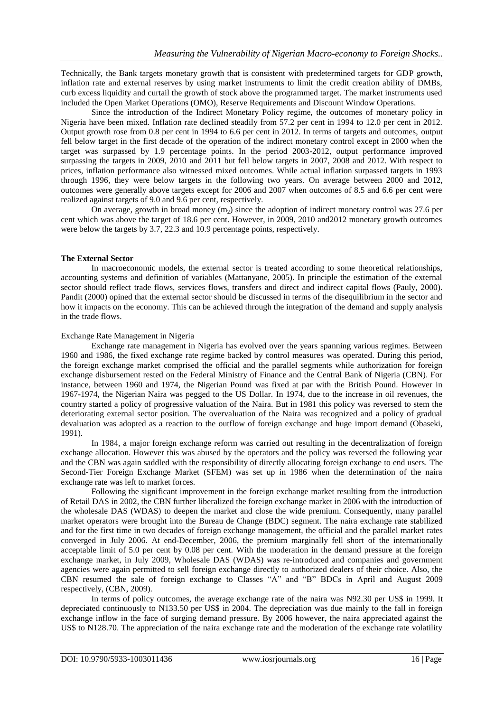Technically, the Bank targets monetary growth that is consistent with predetermined targets for GDP growth, inflation rate and external reserves by using market instruments to limit the credit creation ability of DMBs, curb excess liquidity and curtail the growth of stock above the programmed target. The market instruments used included the Open Market Operations (OMO), Reserve Requirements and Discount Window Operations.

Since the introduction of the Indirect Monetary Policy regime, the outcomes of monetary policy in Nigeria have been mixed. Inflation rate declined steadily from 57.2 per cent in 1994 to 12.0 per cent in 2012. Output growth rose from 0.8 per cent in 1994 to 6.6 per cent in 2012. In terms of targets and outcomes, output fell below target in the first decade of the operation of the indirect monetary control except in 2000 when the target was surpassed by 1.9 percentage points. In the period 2003-2012, output performance improved surpassing the targets in 2009, 2010 and 2011 but fell below targets in 2007, 2008 and 2012. With respect to prices, inflation performance also witnessed mixed outcomes. While actual inflation surpassed targets in 1993 through 1996, they were below targets in the following two years. On average between 2000 and 2012, outcomes were generally above targets except for 2006 and 2007 when outcomes of 8.5 and 6.6 per cent were realized against targets of 9.0 and 9.6 per cent, respectively.

On average, growth in broad money  $(m_2)$  since the adoption of indirect monetary control was 27.6 per cent which was above the target of 18.6 per cent. However, in 2009, 2010 and2012 monetary growth outcomes were below the targets by 3.7, 22.3 and 10.9 percentage points, respectively.

### **The External Sector**

In macroeconomic models, the external sector is treated according to some theoretical relationships, accounting systems and definition of variables (Mattanyane, 2005). In principle the estimation of the external sector should reflect trade flows, services flows, transfers and direct and indirect capital flows (Pauly, 2000). Pandit (2000) opined that the external sector should be discussed in terms of the disequilibrium in the sector and how it impacts on the economy. This can be achieved through the integration of the demand and supply analysis in the trade flows.

### Exchange Rate Management in Nigeria

Exchange rate management in Nigeria has evolved over the years spanning various regimes. Between 1960 and 1986, the fixed exchange rate regime backed by control measures was operated. During this period, the foreign exchange market comprised the official and the parallel segments while authorization for foreign exchange disbursement rested on the Federal Ministry of Finance and the Central Bank of Nigeria (CBN). For instance, between 1960 and 1974, the Nigerian Pound was fixed at par with the British Pound. However in 1967-1974, the Nigerian Naira was pegged to the US Dollar. In 1974, due to the increase in oil revenues, the country started a policy of progressive valuation of the Naira. But in 1981 this policy was reversed to stem the deteriorating external sector position. The overvaluation of the Naira was recognized and a policy of gradual devaluation was adopted as a reaction to the outflow of foreign exchange and huge import demand (Obaseki, 1991).

In 1984, a major foreign exchange reform was carried out resulting in the decentralization of foreign exchange allocation. However this was abused by the operators and the policy was reversed the following year and the CBN was again saddled with the responsibility of directly allocating foreign exchange to end users. The Second-Tier Foreign Exchange Market (SFEM) was set up in 1986 when the determination of the naira exchange rate was left to market forces.

Following the significant improvement in the foreign exchange market resulting from the introduction of Retail DAS in 2002, the CBN further liberalized the foreign exchange market in 2006 with the introduction of the wholesale DAS (WDAS) to deepen the market and close the wide premium. Consequently, many parallel market operators were brought into the Bureau de Change (BDC) segment. The naira exchange rate stabilized and for the first time in two decades of foreign exchange management, the official and the parallel market rates converged in July 2006. At end-December, 2006, the premium marginally fell short of the internationally acceptable limit of 5.0 per cent by 0.08 per cent. With the moderation in the demand pressure at the foreign exchange market, in July 2009, Wholesale DAS (WDAS) was re-introduced and companies and government agencies were again permitted to sell foreign exchange directly to authorized dealers of their choice. Also, the CBN resumed the sale of foreign exchange to Classes "A" and "B" BDCs in April and August 2009 respectively, (CBN, 2009).

In terms of policy outcomes, the average exchange rate of the naira was N92.30 per US\$ in 1999. It depreciated continuously to N133.50 per US\$ in 2004. The depreciation was due mainly to the fall in foreign exchange inflow in the face of surging demand pressure. By 2006 however, the naira appreciated against the US\$ to N128.70. The appreciation of the naira exchange rate and the moderation of the exchange rate volatility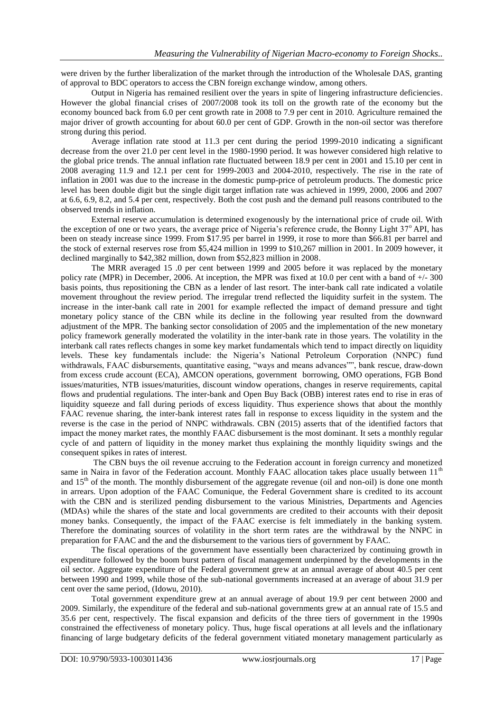were driven by the further liberalization of the market through the introduction of the Wholesale DAS, granting of approval to BDC operators to access the CBN foreign exchange window, among others.

Output in Nigeria has remained resilient over the years in spite of lingering infrastructure deficiencies. However the global financial crises of 2007/2008 took its toll on the growth rate of the economy but the economy bounced back from 6.0 per cent growth rate in 2008 to 7.9 per cent in 2010. Agriculture remained the major driver of growth accounting for about 60.0 per cent of GDP. Growth in the non-oil sector was therefore strong during this period.

Average inflation rate stood at 11.3 per cent during the period 1999-2010 indicating a significant decrease from the over 21.0 per cent level in the 1980-1990 period. It was however considered high relative to the global price trends. The annual inflation rate fluctuated between 18.9 per cent in 2001 and 15.10 per cent in 2008 averaging 11.9 and 12.1 per cent for 1999-2003 and 2004-2010, respectively. The rise in the rate of inflation in 2001 was due to the increase in the domestic pump-price of petroleum products. The domestic price level has been double digit but the single digit target inflation rate was achieved in 1999, 2000, 2006 and 2007 at 6.6, 6.9, 8.2, and 5.4 per cent, respectively. Both the cost push and the demand pull reasons contributed to the observed trends in inflation.

External reserve accumulation is determined exogenously by the international price of crude oil. With the exception of one or two years, the average price of Nigeria's reference crude, the Bonny Light 37<sup>o</sup> API, has been on steady increase since 1999. From \$17.95 per barrel in 1999, it rose to more than \$66.81 per barrel and the stock of external reserves rose from \$5,424 million in 1999 to \$10,267 million in 2001. In 2009 however, it declined marginally to \$42,382 million, down from \$52,823 million in 2008.

The MRR averaged 15 .0 per cent between 1999 and 2005 before it was replaced by the monetary policy rate (MPR) in December, 2006. At inception, the MPR was fixed at 10.0 per cent with a band of +/- 300 basis points, thus repositioning the CBN as a lender of last resort. The inter-bank call rate indicated a volatile movement throughout the review period. The irregular trend reflected the liquidity surfeit in the system. The increase in the inter-bank call rate in 2001 for example reflected the impact of demand pressure and tight monetary policy stance of the CBN while its decline in the following year resulted from the downward adjustment of the MPR. The banking sector consolidation of 2005 and the implementation of the new monetary policy framework generally moderated the volatility in the inter-bank rate in those years. The volatility in the interbank call rates reflects changes in some key market fundamentals which tend to impact directly on liquidity levels. These key fundamentals include: the Nigeria"s National Petroleum Corporation (NNPC) fund withdrawals, FAAC disbursements, quantitative easing, "ways and means advances"", bank rescue, draw-down from excess crude account (ECA), AMCON operations, government borrowing, OMO operations, FGB Bond issues/maturities, NTB issues/maturities, discount window operations, changes in reserve requirements, capital flows and prudential regulations. The inter-bank and Open Buy Back (OBB) interest rates end to rise in eras of liquidity squeeze and fall during periods of excess liquidity. Thus experience shows that about the monthly FAAC revenue sharing, the inter-bank interest rates fall in response to excess liquidity in the system and the reverse is the case in the period of NNPC withdrawals. CBN (2015) asserts that of the identified factors that impact the money market rates, the monthly FAAC disbursement is the most dominant. It sets a monthly regular cycle of and pattern of liquidity in the money market thus explaining the monthly liquidity swings and the consequent spikes in rates of interest.

The CBN buys the oil revenue accruing to the Federation account in foreign currency and monetized same in Naira in favor of the Federation account. Monthly FAAC allocation takes place usually between 11<sup>th</sup> and  $15<sup>th</sup>$  of the month. The monthly disbursement of the aggregate revenue (oil and non-oil) is done one month in arrears. Upon adoption of the FAAC Comunique, the Federal Government share is credited to its account with the CBN and is sterilized pending disbursement to the various Ministries, Departments and Agencies (MDAs) while the shares of the state and local governments are credited to their accounts with their deposit money banks. Consequently, the impact of the FAAC exercise is felt immediately in the banking system. Therefore the dominating sources of volatility in the short term rates are the withdrawal by the NNPC in preparation for FAAC and the and the disbursement to the various tiers of government by FAAC.

The fiscal operations of the government have essentially been characterized by continuing growth in expenditure followed by the boom burst pattern of fiscal management underpinned by the developments in the oil sector. Aggregate expenditure of the Federal government grew at an annual average of about 40.5 per cent between 1990 and 1999, while those of the sub-national governments increased at an average of about 31.9 per cent over the same period, (Idowu, 2010).

Total government expenditure grew at an annual average of about 19.9 per cent between 2000 and 2009. Similarly, the expenditure of the federal and sub-national governments grew at an annual rate of 15.5 and 35.6 per cent, respectively. The fiscal expansion and deficits of the three tiers of government in the 1990s constrained the effectiveness of monetary policy. Thus, huge fiscal operations at all levels and the inflationary financing of large budgetary deficits of the federal government vitiated monetary management particularly as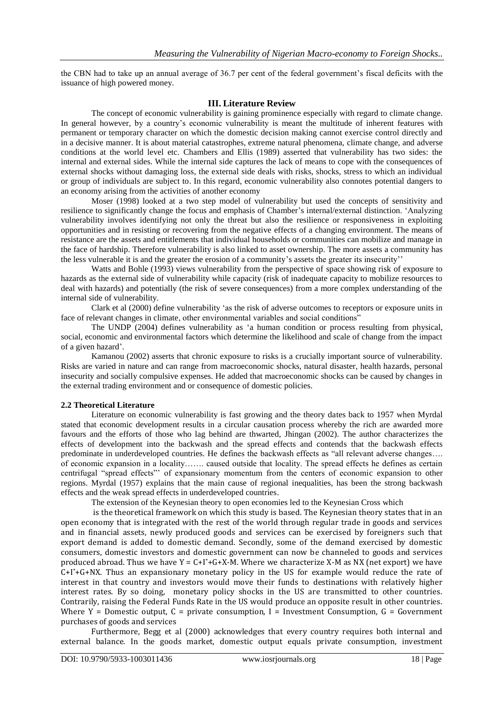the CBN had to take up an annual average of 36.7 per cent of the federal government"s fiscal deficits with the issuance of high powered money.

### **III. Literature Review**

The concept of economic vulnerability is gaining prominence especially with regard to climate change. In general however, by a country's economic vulnerability is meant the multitude of inherent features with permanent or temporary character on which the domestic decision making cannot exercise control directly and in a decisive manner. It is about material catastrophes, extreme natural phenomena, climate change, and adverse conditions at the world level etc. Chambers and Ellis (1989) asserted that vulnerability has two sides: the internal and external sides. While the internal side captures the lack of means to cope with the consequences of external shocks without damaging loss, the external side deals with risks, shocks, stress to which an individual or group of individuals are subject to. In this regard, economic vulnerability also connotes potential dangers to an economy arising from the activities of another economy

Moser (1998) looked at a two step model of vulnerability but used the concepts of sensitivity and resilience to significantly change the focus and emphasis of Chamber"s internal/external distinction. "Analyzing vulnerability involves identifying not only the threat but also the resilience or responsiveness in exploiting opportunities and in resisting or recovering from the negative effects of a changing environment. The means of resistance are the assets and entitlements that individual households or communities can mobilize and manage in the face of hardship. Therefore vulnerability is also linked to asset ownership. The more assets a community has the less vulnerable it is and the greater the erosion of a community"s assets the greater its insecurity""

Watts and Bohle (1993) views vulnerability from the perspective of space showing risk of exposure to hazards as the external side of vulnerability while capacity (risk of inadequate capacity to mobilize resources to deal with hazards) and potentially (the risk of severe consequences) from a more complex understanding of the internal side of vulnerability.

Clark et al (2000) define vulnerability "as the risk of adverse outcomes to receptors or exposure units in face of relevant changes in climate, other environmental variables and social conditions"

The UNDP (2004) defines vulnerability as "a human condition or process resulting from physical, social, economic and environmental factors which determine the likelihood and scale of change from the impact of a given hazard".

Kamanou (2002) asserts that chronic exposure to risks is a crucially important source of vulnerability. Risks are varied in nature and can range from macroeconomic shocks, natural disaster, health hazards, personal insecurity and socially compulsive expenses. He added that macroeconomic shocks can be caused by changes in the external trading environment and or consequence of domestic policies.

### **2.2 Theoretical Literature**

Literature on economic vulnerability is fast growing and the theory dates back to 1957 when Myrdal stated that economic development results in a circular causation process whereby the rich are awarded more favours and the efforts of those who lag behind are thwarted, Jhingan (2002). The author characterizes the effects of development into the backwash and the spread effects and contends that the backwash effects predominate in underdeveloped countries. He defines the backwash effects as "all relevant adverse changes…. of economic expansion in a locality……. caused outside that locality. The spread effects he defines as certain centrifugal "spread effects"" of expansionary momentum from the centers of economic expansion to other regions. Myrdal (1957) explains that the main cause of regional inequalities, has been the strong backwash effects and the weak spread effects in underdeveloped countries.

The extension of the Keynesian theory to open economies led to the Keynesian Cross which

is the theoretical framework on which this study is based. The Keynesian theory states that in an open economy that is integrated with the rest of the world through regular trade in goods and services and in financial assets, newly produced goods and services can be exercised by foreigners such that export demand is added to domestic demand. Secondly, some of the demand exercised by domestic consumers, domestic investors and domestic government can now be channeled to goods and services produced abroad. Thus we have  $Y = C+1^*+G+X-M$ . Where we characterize X-M as NX (net export) we have  $C+I^*+G+NX$ . Thus an expansionary monetary policy in the US for example would reduce the rate of interest in that country and investors would move their funds to destinations with relatively higher interest rates. By so doing, monetary policy shocks in the US are transmitted to other countries. Contrarily, raising the Federal Funds Rate in the US would produce an opposite result in other countries. Where  $Y =$  Domestic output,  $C =$  private consumption, I = Investment Consumption, G = Government purchases of goods and services

Furthermore, Begg et al (2000) acknowledges that every country requires both internal and external balance. In the goods market, domestic output equals private consumption, investment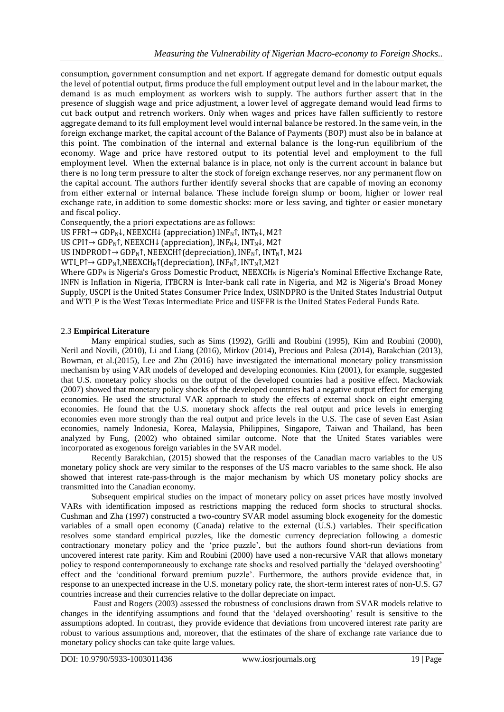consumption, government consumption and net export. If aggregate demand for domestic output equals the level of potential output, firms produce the full employment output level and in the labour market, the demand is as much employment as workers wish to supply. The authors further assert that in the presence of sluggish wage and price adjustment, a lower level of aggregate demand would lead firms to cut back output and retrench workers. Only when wages and prices have fallen sufficiently to restore aggregate demand to its full employment level would internal balance be restored. In the same vein, in the foreign exchange market, the capital account of the Balance of Payments (BOP) must also be in balance at this point. The combination of the internal and external balance is the long-run equilibrium of the economy. Wage and price have restored output to its potential level and employment to the full employment level. When the external balance is in place, not only is the current account in balance but there is no long term pressure to alter the stock of foreign exchange reserves, nor any permanent flow on the capital account. The authors further identify several shocks that are capable of moving an economy from either external or internal balance. These include foreign slump or boom, higher or lower real exchange rate, in addition to some domestic shocks: more or less saving, and tighter or easier monetary and fiscal policy.

Consequently, the a priori expectations are as follows:

US FFR↑  $\rightarrow$  GDP<sub>N</sub>↓, NEEXCH↓ (appreciation) INF<sub>N</sub>↑, INT<sub>N</sub>↓, M2↑

US CPI↑→ GDP<sub>N</sub>↑, NEEXCH↓ (appreciation), INF<sub>N</sub>↓, INT<sub>N</sub>↓, M2↑

US INDPROD↑→ GDP<sub>N</sub>↑, NEEXCH↑(depreciation), INF<sub>N</sub>↑, INT<sub>N</sub>↑, M2↓

WTI\_P↑→ GDP<sub>N</sub>↑, NEEXCH<sub>N</sub>↑ (depreciation), INF<sub>N</sub>↑, INT<sub>N</sub>↑, M2↑

Where GDP<sub>N</sub> is Nigeria's Gross Domestic Product, NEEXCH<sub>N</sub> is Nigeria's Nominal Effective Exchange Rate, INFN is Inflation in Nigeria, ITBCRN is Inter-bank call rate in Nigeria, and M2 is Nigeria's Broad Money Supply, USCPI is the United States Consumer Price Index, USINDPRO is the United States Industrial Output and WTI\_P is the West Texas Intermediate Price and USFFR is the United States Federal Funds Rate.

### 2.3 **Empirical Literature**

Many empirical studies, such as Sims (1992), Grilli and Roubini (1995), Kim and Roubini (2000), Neril and Novili, (2010), Li and Liang (2016), Mirkov (2014), Precious and Palesa (2014), Barakchian (2013), Bowman, et al.(2015), Lee and Zhu (2016) have investigated the international monetary policy transmission mechanism by using VAR models of developed and developing economies. Kim (2001), for example, suggested that U.S. monetary policy shocks on the output of the developed countries had a positive effect. Mackowiak (2007) showed that monetary policy shocks of the developed countries had a negative output effect for emerging economies. He used the structural VAR approach to study the effects of external shock on eight emerging economies. He found that the U.S. monetary shock affects the real output and price levels in emerging economies even more strongly than the real output and price levels in the U.S. The case of seven East Asian economies, namely Indonesia, Korea, Malaysia, Philippines, Singapore, Taiwan and Thailand, has been analyzed by Fung, (2002) who obtained similar outcome. Note that the United States variables were incorporated as exogenous foreign variables in the SVAR model.

Recently Barakchian, (2015) showed that the responses of the Canadian macro variables to the US monetary policy shock are very similar to the responses of the US macro variables to the same shock. He also showed that interest rate-pass-through is the major mechanism by which US monetary policy shocks are transmitted into the Canadian economy.

Subsequent empirical studies on the impact of monetary policy on asset prices have mostly involved VARs with identification imposed as restrictions mapping the reduced form shocks to structural shocks. Cushman and Zha (1997) constructed a two-country SVAR model assuming block exogeneity for the domestic variables of a small open economy (Canada) relative to the external (U.S.) variables. Their specification resolves some standard empirical puzzles, like the domestic currency depreciation following a domestic contractionary monetary policy and the "price puzzle", but the authors found short-run deviations from uncovered interest rate parity. Kim and Roubini (2000) have used a non-recursive VAR that allows monetary policy to respond contemporaneously to exchange rate shocks and resolved partially the "delayed overshooting" effect and the "conditional forward premium puzzle". Furthermore, the authors provide evidence that, in response to an unexpected increase in the U.S. monetary policy rate, the short-term interest rates of non-U.S. G7 countries increase and their currencies relative to the dollar depreciate on impact.

Faust and Rogers (2003) assessed the robustness of conclusions drawn from SVAR models relative to changes in the identifying assumptions and found that the "delayed overshooting" result is sensitive to the assumptions adopted. In contrast, they provide evidence that deviations from uncovered interest rate parity are robust to various assumptions and, moreover, that the estimates of the share of exchange rate variance due to monetary policy shocks can take quite large values.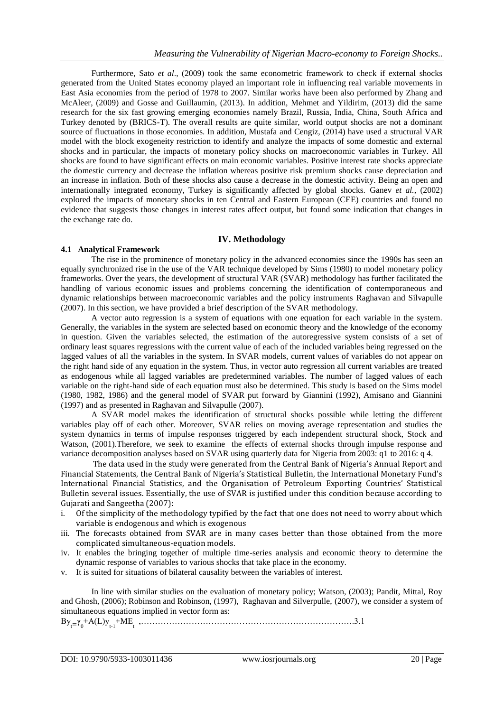Furthermore, Sato *et al*., (2009) took the same econometric framework to check if external shocks generated from the United States economy played an important role in influencing real variable movements in East Asia economies from the period of 1978 to 2007. Similar works have been also performed by Zhang and McAleer, (2009) and Gosse and Guillaumin, (2013). In addition, Mehmet and Yildirim, (2013) did the same research for the six fast growing emerging economies namely Brazil, Russia, India, China, South Africa and Turkey denoted by (BRICS-T). The overall results are quite similar, world output shocks are not a dominant source of fluctuations in those economies. In addition, Mustafa and Cengiz, (2014) have used a structural VAR model with the block exogeneity restriction to identify and analyze the impacts of some domestic and external shocks and in particular, the impacts of monetary policy shocks on macroeconomic variables in Turkey. All shocks are found to have significant effects on main economic variables. Positive interest rate shocks appreciate the domestic currency and decrease the inflation whereas positive risk premium shocks cause depreciation and an increase in inflation. Both of these shocks also cause a decrease in the domestic activity. Being an open and internationally integrated economy, Turkey is significantly affected by global shocks. Ganev *et al.*, (2002) explored the impacts of monetary shocks in ten Central and Eastern European (CEE) countries and found no evidence that suggests those changes in interest rates affect output, but found some indication that changes in the exchange rate do.

### **IV. Methodology**

### **4.1 Analytical Framework**

The rise in the prominence of monetary policy in the advanced economies since the 1990s has seen an equally synchronized rise in the use of the VAR technique developed by Sims (1980) to model monetary policy frameworks. Over the years, the development of structural VAR (SVAR) methodology has further facilitated the handling of various economic issues and problems concerning the identification of contemporaneous and dynamic relationships between macroeconomic variables and the policy instruments Raghavan and Silvapulle (2007). In this section, we have provided a brief description of the SVAR methodology.

A vector auto regression is a system of equations with one equation for each variable in the system. Generally, the variables in the system are selected based on economic theory and the knowledge of the economy in question. Given the variables selected, the estimation of the autoregressive system consists of a set of ordinary least squares regressions with the current value of each of the included variables being regressed on the lagged values of all the variables in the system. In SVAR models, current values of variables do not appear on the right hand side of any equation in the system. Thus, in vector auto regression all current variables are treated as endogenous while all lagged variables are predetermined variables. The number of lagged values of each variable on the right-hand side of each equation must also be determined. This study is based on the Sims model (1980, 1982, 1986) and the general model of SVAR put forward by Giannini (1992), Amisano and Giannini (1997) and as presented in Raghavan and Silvapulle (2007).

A SVAR model makes the identification of structural shocks possible while letting the different variables play off of each other. Moreover, SVAR relies on moving average representation and studies the system dynamics in terms of impulse responses triggered by each independent structural shock, Stock and Watson, (2001).Therefore, we seek to examine the effects of external shocks through impulse response and variance decomposition analyses based on SVAR using quarterly data for Nigeria from 2003: q1 to 2016: q 4.

The data used in the study were generated from the Central Bank of Nigeria's Annual Report and Financial Statements, the Central Bank of Nigeria's Statistical Bulletin, the International Monetary Fund's International Financial Statistics, and the Organisation of Petroleum Exporting Countries' Statistical Bulletin several issues. Essentially, the use of SVAR is justified under this condition because according to Gujarati and Sangeetha (2007):

- i. Of the simplicity of the methodology typified by the fact that one does not need to worry about which variable is endogenous and which is exogenous
- iii. The forecasts obtained from SVAR are in many cases better than those obtained from the more complicated simultaneous-equation models.
- iv. It enables the bringing together of multiple time-series analysis and economic theory to determine the dynamic response of variables to various shocks that take place in the economy.
- v. It is suited for situations of bilateral causality between the variables of interest.

In line with similar studies on the evaluation of monetary policy; Watson, (2003); Pandit, Mittal, Roy and Ghosh, (2006); Robinson and Robinson, (1997), Raghavan and Silverpulle, (2007), we consider a system of simultaneous equations implied in vector form as:

 $By_{t=1}^{\infty}+A(L)y_{t=1}^{\infty}+ME_{t_{t}}^{\infty},\dots$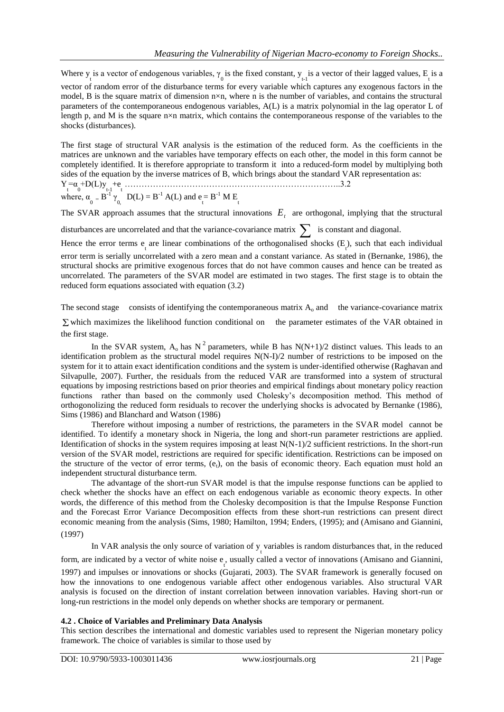Where  $y_t$  is a vector of endogenous variables,  $\gamma_0$  is the fixed constant,  $y_{t-1}$  is a vector of their lagged values,  $E_t$  is a vector of random error of the disturbance terms for every variable which captures any exogenous factors in the model, B is the square matrix of dimension n×n, where n is the number of variables, and contains the structural parameters of the contemporaneous endogenous variables, A(L) is a matrix polynomial in the lag operator L of length p, and M is the square n×n matrix, which contains the contemporaneous response of the variables to the shocks (disturbances).

The first stage of structural VAR analysis is the estimation of the reduced form. As the coefficients in the matrices are unknown and the variables have temporary effects on each other, the model in this form cannot be completely identified. It is therefore appropriate to transform it into a reduced-form model by multiplying both sides of the equation by the inverse matrices of B, which brings about the standard VAR representation as:  $Y_t = \alpha_0 + D(L)y_{t-1} + \epsilon_1 + \cdots + \epsilon_n$ where,  $\alpha_0 = B^{-1} \gamma_0$ ,  $D(L) = B^{-1} A(L)$  and  $e_t = B^{-1} M E_t$ 

The SVAR approach assumes that the structural innovations  $E_t$  are orthogonal, implying that the structural

disturbances are uncorrelated and that the variance-covariance matrix  $\sum$  is constant and diagonal.

Hence the error terms  $e_{\tau}$  are linear combinations of the orthogonalised shocks  $(E_{\tau})$ , such that each individual error term is serially uncorrelated with a zero mean and a constant variance. As stated in (Bernanke, 1986), the structural shocks are primitive exogenous forces that do not have common causes and hence can be treated as uncorrelated. The parameters of the SVAR model are estimated in two stages. The first stage is to obtain the reduced form equations associated with equation (3.2)

The second stage consists of identifying the contemporaneous matrix  $A_0$  and the variance-covariance matrix

 $\Sigma$  which maximizes the likelihood function conditional on the parameter estimates of the VAR obtained in the first stage.

In the SVAR system,  $A_0$  has N<sup>2</sup> parameters, while B has N(N+1)/2 distinct values. This leads to an identification problem as the structural model requires N(N-I)/2 number of restrictions to be imposed on the system for it to attain exact identification conditions and the system is under-identified otherwise (Raghavan and Silvapulle, 2007). Further, the residuals from the reduced VAR are transformed into a system of structural equations by imposing restrictions based on prior theories and empirical findings about monetary policy reaction functions rather than based on the commonly used Cholesky"s decomposition method. This method of orthogonolizing the reduced form residuals to recover the underlying shocks is advocated by Bernanke (1986), Sims (1986) and Blanchard and Watson (1986)

Therefore without imposing a number of restrictions, the parameters in the SVAR model cannot be identified. To identify a monetary shock in Nigeria, the long and short-run parameter restrictions are applied. Identification of shocks in the system requires imposing at least  $N(N-1)/2$  sufficient restrictions. In the short-run version of the SVAR model, restrictions are required for specific identification. Restrictions can be imposed on the structure of the vector of error terms, (et), on the basis of economic theory. Each equation must hold an independent structural disturbance term.

The advantage of the short-run SVAR model is that the impulse response functions can be applied to check whether the shocks have an effect on each endogenous variable as economic theory expects. In other words, the difference of this method from the Cholesky decomposition is that the Impulse Response Function and the Forecast Error Variance Decomposition effects from these short-run restrictions can present direct economic meaning from the analysis (Sims, 1980; Hamilton, 1994; Enders, (1995); and (Amisano and Giannini, (1997)

In VAR analysis the only source of variation of  $y_t$  variables is random disturbances that, in the reduced

form, are indicated by a vector of white noise  $e_{\tau}$ , usually called a vector of innovations (Amisano and Giannini, 1997) and impulses or innovations or shocks (Gujarati, 2003). The SVAR framework is generally focused on how the innovations to one endogenous variable affect other endogenous variables. Also structural VAR analysis is focused on the direction of instant correlation between innovation variables. Having short-run or long-run restrictions in the model only depends on whether shocks are temporary or permanent.

### **4.2 . Choice of Variables and Preliminary Data Analysis**

This section describes the international and domestic variables used to represent the Nigerian monetary policy framework. The choice of variables is similar to those used by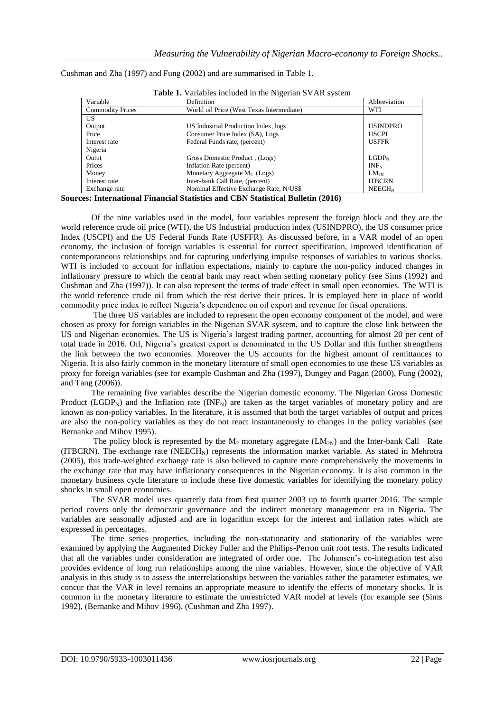Cushman and Zha (1997) and Fung (2002) and are summarised in Table 1.

| Variable                | Definition                                | Abbreviation       |
|-------------------------|-------------------------------------------|--------------------|
| <b>Commodity Prices</b> | World oil Price (West Texas Intermediate) | <b>WTI</b>         |
| US.                     |                                           |                    |
| Output                  | US Industrial Production Index, logs      | <b>USINDPRO</b>    |
| Price                   | Consumer Price Index (SA), Logs           | <b>USCPI</b>       |
| Interest rate           | Federal Funds rate, (percent)             | <b>USFFR</b>       |
| Nigeria                 |                                           |                    |
| Outut                   | (Logs) Gross Domestic Product, (Logs)     | LGDP <sub>N</sub>  |
| Prices                  | Inflation Rate (percent)                  | $INF_N$            |
| Money                   | Monetary Aggregate M <sub>2</sub> (Logs)  | $LM_{2N}$          |
| Interest rate           | Inter-bank Call Rate, (percent)           | <b>ITBCRN</b>      |
| Exchange rate           | Nominal Effective Exchange Rate, N/US\$   | NEECH <sub>N</sub> |

**Table 1.** Variables included in the Nigerian SVAR system

**Sources: International Financial Statistics and CBN Statistical Bulletin (2016)**

Of the nine variables used in the model, four variables represent the foreign block and they are the world reference crude oil price (WTI), the US Industrial production index (USINDPRO), the US consumer price Index (USCPI) and the US Federal Funds Rate (USFFR). As discussed before, in a VAR model of an open economy, the inclusion of foreign variables is essential for correct specification, improved identification of contemporaneous relationships and for capturing underlying impulse responses of variables to various shocks. WTI is included to account for inflation expectations, mainly to capture the non-policy induced changes in inflationary pressure to which the central bank may react when setting monetary policy (see Sims (1992) and Cushman and Zha (1997)). It can also represent the terms of trade effect in small open economies. The WTI is the world reference crude oil from which the rest derive their prices. It is employed here in place of world commodity price index to reflect Nigeria"s dependence on oil export and revenue for fiscal operations.

The three US variables are included to represent the open economy component of the model, and were chosen as proxy for foreign variables in the Nigerian SVAR system, and to capture the close link between the US and Nigerian economies. The US is Nigeria"s largest trading partner, accounting for almost 20 per cent of total trade in 2016. Oil, Nigeria"s greatest export is denominated in the US Dollar and this further strengthens the link between the two economies. Moreover the US accounts for the highest amount of remittances to Nigeria. It is also fairly common in the monetary literature of small open economies to use these US variables as proxy for foreign variables (see for example Cushman and Zha (1997), Dungey and Pagan (2000), Fung (2002), and Tang (2006)).

The remaining five variables describe the Nigerian domestic economy. The Nigerian Gross Domestic Product (LGDP<sub>N</sub>) and the Inflation rate (INF<sub>N</sub>) are taken as the target variables of monetary policy and are known as non-policy variables. In the literature, it is assumed that both the target variables of output and prices are also the non-policy variables as they do not react instantaneously to changes in the policy variables (see Bernanke and Mihov 1995).

The policy block is represented by the  $M_2$  monetary aggregate (LM<sub>2N</sub>) and the Inter-bank Call Rate (ITBCRN). The exchange rate (NEECH<sub>N</sub>) represents the information market variable. As stated in Mehrotra (2005), this trade-weighted exchange rate is also believed to capture more comprehensively the movements in the exchange rate that may have inflationary consequences in the Nigerian economy. It is also common in the monetary business cycle literature to include these five domestic variables for identifying the monetary policy shocks in small open economies.

The SVAR model uses quarterly data from first quarter 2003 up to fourth quarter 2016. The sample period covers only the democratic governance and the indirect monetary management era in Nigeria. The variables are seasonally adjusted and are in logarithm except for the interest and inflation rates which are expressed in percentages.

The time series properties, including the non-stationarity and stationarity of the variables were examined by applying the Augmented Dickey Fuller and the Philips-Perron unit root tests. The results indicated that all the variables under consideration are integrated of order one. The Johansen"s co-integration test also provides evidence of long run relationships among the nine variables. However, since the objective of VAR analysis in this study is to assess the interrelationships between the variables rather the parameter estimates, we concur that the VAR in level remains an appropriate measure to identify the effects of monetary shocks. It is common in the monetary literature to estimate the unrestricted VAR model at levels (for example see (Sims 1992), (Bernanke and Mihov 1996), (Cushman and Zha 1997).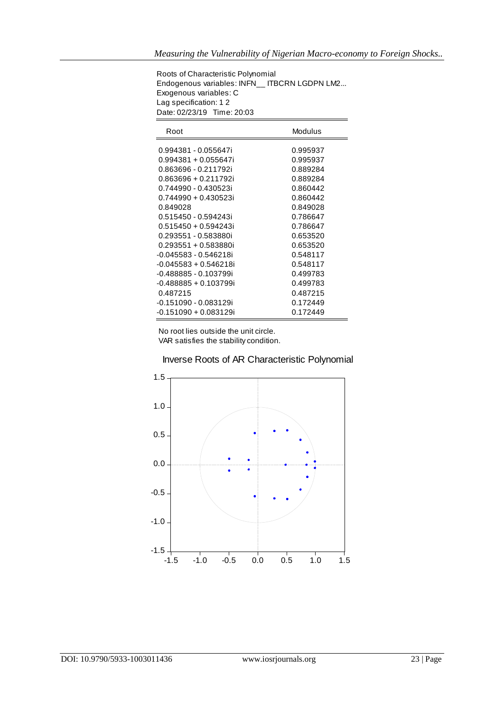Roots of Characteristic Polynomial Endogenous variables: INFN\_\_ ITBCRN LGDPN LM2... Exogenous variables: C Lag specification: 1 2 Date: 02/23/19 Time: 20:03

| Root                  | Modulus  |
|-----------------------|----------|
| 0.994381 - 0.055647i  | 0.995937 |
| 0.994381 + 0.055647i  | 0.995937 |
| 0.863696 - 0.211792i  | 0.889284 |
| 0.863696 + 0.211792i  | 0.889284 |
| 0.744990 - 0.430523i  | 0.860442 |
| 0.744990 + 0.430523i  | 0.860442 |
| 0.849028              | 0.849028 |
| 0.515450 - 0.594243i  | 0.786647 |
| 0.515450 + 0.594243i  | 0.786647 |
| 0.293551 - 0.583880i  | 0.653520 |
| 0.293551 + 0.583880i  | 0.653520 |
| -0.045583 - 0.546218i | 0.548117 |
| -0.045583 + 0.546218i | 0.548117 |
| -0.488885 - 0.103799i | 0.499783 |
| -0.488885 + 0.103799i | 0.499783 |
| 0.487215              | 0.487215 |
| -0.151090 - 0.083129i | 0.172449 |
| -0.151090 + 0.083129i | 0.172449 |

 No root lies outside the unit circle. VAR satisfies the stability condition.



### Inverse Roots of AR Characteristic Polynomial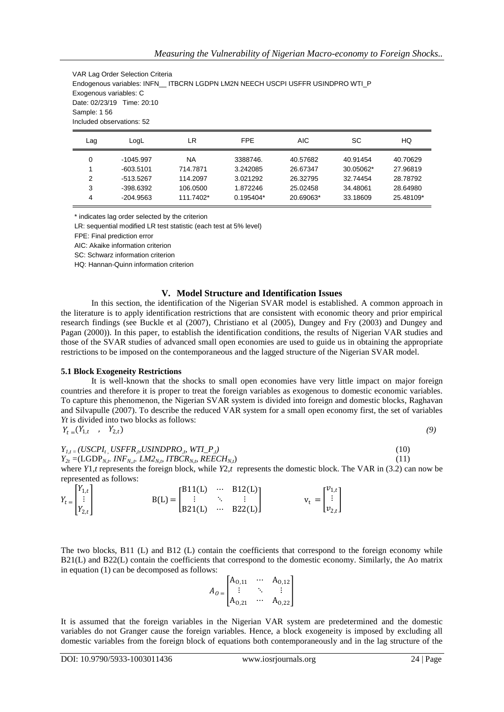VAR Lag Order Selection Criteria Endogenous variables: INFN\_\_ ITBCRN LGDPN LM2N NEECH USCPI USFFR USINDPRO WTI\_P Exogenous variables: C Date: 02/23/19 Time: 20:10 Sample: 1 56 Included observations: 52

| Lag | ∟ogL        | LR        | <b>FPE</b>  | <b>AIC</b> | SC        | HQ        |
|-----|-------------|-----------|-------------|------------|-----------|-----------|
| 0   | $-1045.997$ | NA        | 3388746.    | 40.57682   | 40.91454  | 40.70629  |
|     | $-603.5101$ | 714.7871  | 3.242085    | 26.67347   | 30.05062* | 27.96819  |
| 2   | -513.5267   | 114,2097  | 3.021292    | 26.32795   | 32.74454  | 28.78792  |
| 3   | $-398.6392$ | 106.0500  | 1.872246    | 25.02458   | 34.48061  | 28.64980  |
| 4   | $-204.9563$ | 111.7402* | $0.195404*$ | 20.69063*  | 33.18609  | 25.48109* |

\* indicates lag order selected by the criterion

LR: sequential modified LR test statistic (each test at 5% level)

FPE: Final prediction error

AIC: Akaike information criterion

SC: Schwarz information criterion

HQ: Hannan-Quinn information criterion

### **V. Model Structure and Identification Issues**

In this section, the identification of the Nigerian SVAR model is established. A common approach in the literature is to apply identification restrictions that are consistent with economic theory and prior empirical research findings (see Buckle et al (2007), Christiano et al (2005), Dungey and Fry (2003) and Dungey and Pagan (2000)). In this paper, to establish the identification conditions, the results of Nigerian VAR studies and those of the SVAR studies of advanced small open economies are used to guide us in obtaining the appropriate restrictions to be imposed on the contemporaneous and the lagged structure of the Nigerian SVAR model.

### **5.1 Block Exogeneity Restrictions**

It is well-known that the shocks to small open economies have very little impact on major foreign countries and therefore it is proper to treat the foreign variables as exogenous to domestic economic variables. To capture this phenomenon, the Nigerian SVAR system is divided into foreign and domestic blocks, Raghavan and Silvapulle (2007). To describe the reduced VAR system for a small open economy first, the set of variables *Yt* is divided into two blocks as follows:

$$
Y_t = (Y_{1,t}, Y_{2,t}) \tag{9}
$$

| $Y_{l,t} = (USCPI_{t}$ , $USFFR_{,p}$ USINDPRO $_{p}$ , WTI_P <sub>,t</sub> ) | (10) |
|-------------------------------------------------------------------------------|------|
| $Y_{2t} = (LGDP_{N,t}, INF_{N,t}, LM2_{N,t}, ITBCR_{N,t}, REECH_{N,t})$       | (11) |

where *Y*1,*t* represents the foreign block, while *Y*2,*t* represents the domestic block. The VAR in (3.2) can now be represented as follows:

|                                                                    |  | $B11(L)$ $B12(L)$ ]                                                                 |                                                                                      |  |
|--------------------------------------------------------------------|--|-------------------------------------------------------------------------------------|--------------------------------------------------------------------------------------|--|
|                                                                    |  | $B(L) = \begin{bmatrix} 1 & 1 & 1 \\ 1 & 1 & 1 \\ 2 & 1 & 1 \end{bmatrix}$ $B22(L)$ | $\mathbf{v}_{\mathrm{t}}=\begin{bmatrix} v_{1,t} \\ \vdots \\ v_{2,t} \end{bmatrix}$ |  |
| $Y_t = \begin{bmatrix} Y_{1,t} \\ \vdots \\ Y_{2,t} \end{bmatrix}$ |  |                                                                                     |                                                                                      |  |

The two blocks, B11 (L) and B12 (L) contain the coefficients that correspond to the foreign economy while B21(L) and B22(L) contain the coefficients that correspond to the domestic economy. Similarly, the Ao matrix in equation (1) can be decomposed as follows:

|           | $A_{0,11}$ | $A_{0,12}$ |
|-----------|------------|------------|
| $A_0 = I$ |            |            |
|           | $A_{0,21}$ | $A_{0,22}$ |

It is assumed that the foreign variables in the Nigerian VAR system are predetermined and the domestic variables do not Granger cause the foreign variables. Hence, a block exogeneity is imposed by excluding all domestic variables from the foreign block of equations both contemporaneously and in the lag structure of the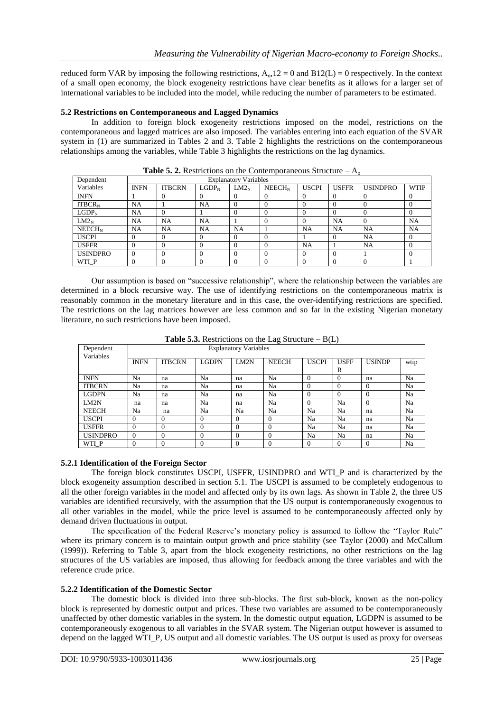reduced form VAR by imposing the following restrictions,  $A_0$ ,  $12 = 0$  and  $B12(L) = 0$  respectively. In the context of a small open economy, the block exogeneity restrictions have clear benefits as it allows for a larger set of international variables to be included into the model, while reducing the number of parameters to be estimated.

### **5.2 Restrictions on Contemporaneous and Lagged Dynamics**

In addition to foreign block exogeneity restrictions imposed on the model, restrictions on the contemporaneous and lagged matrices are also imposed. The variables entering into each equation of the SVAR system in (1) are summarized in Tables 2 and 3. Table 2 highlights the restrictions on the contemporaneous relationships among the variables, while Table 3 highlights the restrictions on the lag dynamics.

| Dependent          | <b>Explanatory Variables</b> |               |           |           |                    |                |              |                 |             |
|--------------------|------------------------------|---------------|-----------|-----------|--------------------|----------------|--------------|-----------------|-------------|
| Variables          | <b>INFN</b>                  | <b>ITBCRN</b> | $LGDP_N$  | $LM2_N$   | NEECH <sub>N</sub> | <b>USCPI</b>   | <b>USFFR</b> | <b>USINDPRO</b> | <b>WTIP</b> |
| <b>INFN</b>        |                              |               |           |           | $\Omega$           | $\overline{0}$ | $\theta$     |                 |             |
| $ITBCR_N$          | <b>NA</b>                    |               | NA        | 0         | $\Omega$           | $\Omega$       | $\Omega$     |                 |             |
| $LGDP_N$           | <b>NA</b>                    |               |           | $\Omega$  | $\Omega$           | $\Omega$       | $\Omega$     |                 | $\Omega$    |
| $LM2_N$            | <b>NA</b>                    | NA            | <b>NA</b> |           | $\Omega$           | $\Omega$       | NA           |                 | <b>NA</b>   |
| NEECH <sub>N</sub> | <b>NA</b>                    | <b>NA</b>     | NA        | <b>NA</b> |                    | NA             | <b>NA</b>    | NA              | <b>NA</b>   |
| <b>USCPI</b>       | $\Omega$                     |               |           | 0         | $\Omega$           |                | $\Omega$     | NA              | $\Omega$    |
| <b>USFFR</b>       | $\Omega$                     |               |           | $\Omega$  | $\Omega$           | NA             |              | NA              |             |
| <b>USINDPRO</b>    |                              |               |           |           | $\Omega$           | $\Omega$       |              |                 |             |
| WTI P              |                              |               |           |           | $\Omega$           | $\theta$       |              |                 |             |

**Table 5. 2.** Restrictions on the Contemporaneous Structure –  $A_0$ 

Our assumption is based on "successive relationship", where the relationship between the variables are determined in a block recursive way. The use of identifying restrictions on the contemporaneous matrix is reasonably common in the monetary literature and in this case, the over-identifying restrictions are specified. The restrictions on the lag matrices however are less common and so far in the existing Nigerian monetary literature, no such restrictions have been imposed.

| Dependent<br>Variables | <b>Explanatory Variables</b> |               |                |                |              |              |             |                |      |
|------------------------|------------------------------|---------------|----------------|----------------|--------------|--------------|-------------|----------------|------|
|                        | <b>INFN</b>                  | <b>ITBCRN</b> | LGDPN          | LM2N           | <b>NEECH</b> | <b>USCPI</b> | <b>USFF</b> | <b>USINDP</b>  | wtip |
|                        |                              |               |                |                |              |              | R           |                |      |
| <b>INFN</b>            | Na                           | na            | Na             | na             | Na           | $\Omega$     | $\Omega$    | na             | Na   |
| <b>ITBCRN</b>          | Na                           | na            | Na             | na             | Na           | $\Omega$     | $\Omega$    | $\overline{0}$ | Na   |
| <b>LGDPN</b>           | Na                           | na            | Na             | na             | Na           | $\Omega$     | $\Omega$    | $\Omega$       | Na   |
| LM2N                   | na                           | na            | Na             | na             | Na           | $\Omega$     | Na          | $\Omega$       | Na   |
| <b>NEECH</b>           | Na                           | na            | Na             | Na             | Na           | Na           | Na          | na             | Na   |
| <b>USCPI</b>           | $\Omega$                     | $\Omega$      | $\overline{0}$ | $\overline{0}$ | $\Omega$     | Na           | Na          | na             | Na   |
| <b>USFFR</b>           | $\theta$                     | $\theta$      | $\Omega$       | $\Omega$       | $\Omega$     | Na           | Na          | na             | Na   |
| <b>USINDPRO</b>        | $\Omega$                     | $\Omega$      | $\theta$       | $\Omega$       | $\Omega$     | Na           | Na          | na             | Na   |
| WTI P                  | $\theta$                     | $\mathbf{0}$  | $\theta$       | $\theta$       | $\theta$     | $\Omega$     | $\Omega$    | $\overline{0}$ | Na   |

**Table 5.3.** Restrictions on the Lag Structure  $-B(L)$ 

### **5.2.1 Identification of the Foreign Sector**

The foreign block constitutes USCPI, USFFR, USINDPRO and WTI\_P and is characterized by the block exogeneity assumption described in section 5.1. The USCPI is assumed to be completely endogenous to all the other foreign variables in the model and affected only by its own lags. As shown in Table 2, the three US variables are identified recursively, with the assumption that the US output is contemporaneously exogenous to all other variables in the model, while the price level is assumed to be contemporaneously affected only by demand driven fluctuations in output.

The specification of the Federal Reserve's monetary policy is assumed to follow the "Taylor Rule" where its primary concern is to maintain output growth and price stability (see Taylor (2000) and McCallum (1999)). Referring to Table 3, apart from the block exogeneity restrictions, no other restrictions on the lag structures of the US variables are imposed, thus allowing for feedback among the three variables and with the reference crude price.

### **5.2.2 Identification of the Domestic Sector**

The domestic block is divided into three sub-blocks. The first sub-block, known as the non-policy block is represented by domestic output and prices. These two variables are assumed to be contemporaneously unaffected by other domestic variables in the system. In the domestic output equation, LGDPN is assumed to be contemporaneously exogenous to all variables in the SVAR system. The Nigerian output however is assumed to depend on the lagged WTI\_P, US output and all domestic variables. The US output is used as proxy for overseas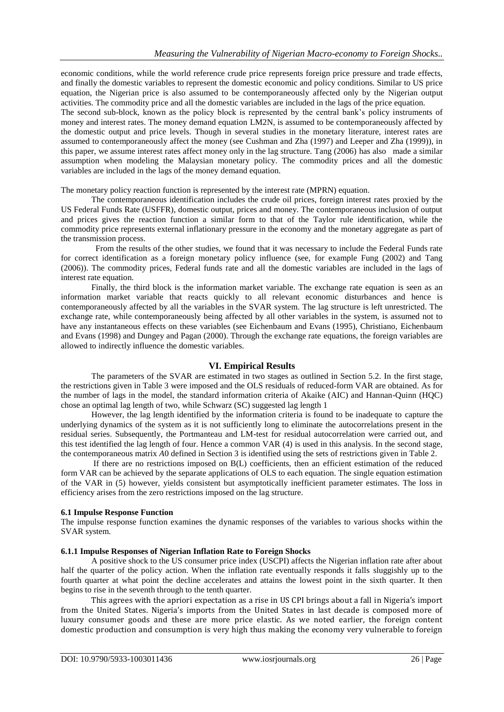economic conditions, while the world reference crude price represents foreign price pressure and trade effects, and finally the domestic variables to represent the domestic economic and policy conditions. Similar to US price equation, the Nigerian price is also assumed to be contemporaneously affected only by the Nigerian output activities. The commodity price and all the domestic variables are included in the lags of the price equation.

The second sub-block, known as the policy block is represented by the central bank"s policy instruments of money and interest rates. The money demand equation LM2N, is assumed to be contemporaneously affected by the domestic output and price levels. Though in several studies in the monetary literature, interest rates are assumed to contemporaneously affect the money (see Cushman and Zha (1997) and Leeper and Zha (1999)), in this paper, we assume interest rates affect money only in the lag structure. Tang (2006) has also made a similar assumption when modeling the Malaysian monetary policy. The commodity prices and all the domestic variables are included in the lags of the money demand equation.

The monetary policy reaction function is represented by the interest rate (MPRN) equation.

The contemporaneous identification includes the crude oil prices, foreign interest rates proxied by the US Federal Funds Rate (USFFR), domestic output, prices and money. The contemporaneous inclusion of output and prices gives the reaction function a similar form to that of the Taylor rule identification, while the commodity price represents external inflationary pressure in the economy and the monetary aggregate as part of the transmission process.

 From the results of the other studies, we found that it was necessary to include the Federal Funds rate for correct identification as a foreign monetary policy influence (see, for example Fung (2002) and Tang (2006)). The commodity prices, Federal funds rate and all the domestic variables are included in the lags of interest rate equation.

Finally, the third block is the information market variable. The exchange rate equation is seen as an information market variable that reacts quickly to all relevant economic disturbances and hence is contemporaneously affected by all the variables in the SVAR system. The lag structure is left unrestricted. The exchange rate, while contemporaneously being affected by all other variables in the system, is assumed not to have any instantaneous effects on these variables (see Eichenbaum and Evans (1995), Christiano, Eichenbaum and Evans (1998) and Dungey and Pagan (2000). Through the exchange rate equations, the foreign variables are allowed to indirectly influence the domestic variables.

### **VI. Empirical Results**

The parameters of the SVAR are estimated in two stages as outlined in Section 5.2. In the first stage, the restrictions given in Table 3 were imposed and the OLS residuals of reduced-form VAR are obtained. As for the number of lags in the model, the standard information criteria of Akaike (AIC) and Hannan-Quinn (HQC) chose an optimal lag length of two, while Schwarz (SC) suggested lag length 1

However, the lag length identified by the information criteria is found to be inadequate to capture the underlying dynamics of the system as it is not sufficiently long to eliminate the autocorrelations present in the residual series. Subsequently, the Portmanteau and LM-test for residual autocorrelation were carried out, and this test identified the lag length of four. Hence a common VAR (4) is used in this analysis. In the second stage, the contemporaneous matrix *A*0 defined in Section 3 is identified using the sets of restrictions given in Table 2.

If there are no restrictions imposed on B(L) coefficients, then an efficient estimation of the reduced form VAR can be achieved by the separate applications of OLS to each equation. The single equation estimation of the VAR in (5) however, yields consistent but asymptotically inefficient parameter estimates. The loss in efficiency arises from the zero restrictions imposed on the lag structure.

### **6.1 Impulse Response Function**

The impulse response function examines the dynamic responses of the variables to various shocks within the SVAR system.

### **6.1.1 Impulse Responses of Nigerian Inflation Rate to Foreign Shocks**

A positive shock to the US consumer price index (USCPI) affects the Nigerian inflation rate after about half the quarter of the policy action. When the inflation rate eventually responds it falls sluggishly up to the fourth quarter at what point the decline accelerates and attains the lowest point in the sixth quarter. It then begins to rise in the seventh through to the tenth quarter.

This agrees with the apriori expectation as a rise in US CPI brings about a fall in Nigeria's import from the United States. Nigeria's imports from the United States in last decade is composed more of luxury consumer goods and these are more price elastic. As we noted earlier, the foreign content domestic production and consumption is very high thus making the economy very vulnerable to foreign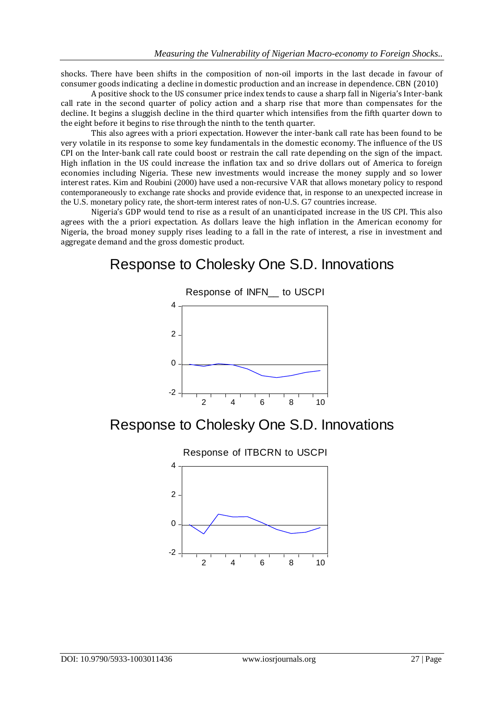shocks. There have been shifts in the composition of non-oil imports in the last decade in favour of consumer goods indicating a decline in domestic production and an increase in dependence. CBN (2010)

A positive shock to the US consumer price index tends to cause a sharp fall in Nigeria's Inter-bank call rate in the second quarter of policy action and a sharp rise that more than compensates for the decline. It begins a sluggish decline in the third quarter which intensifies from the fifth quarter down to the eight before it begins to rise through the ninth to the tenth quarter.

This also agrees with a priori expectation. However the inter-bank call rate has been found to be very volatile in its response to some key fundamentals in the domestic economy. The influence of the US CPI on the Inter-bank call rate could boost or restrain the call rate depending on the sign of the impact. High inflation in the US could increase the inflation tax and so drive dollars out of America to foreign economies including Nigeria. These new investments would increase the money supply and so lower interest rates. Kim and Roubini (2000) have used a non-recursive VAR that allows monetary policy to respond contemporaneously to exchange rate shocks and provide evidence that, in response to an unexpected increase in the U.S. monetary policy rate, the short-term interest rates of non-U.S. G7 countries increase.

Nigeria's GDP would tend to rise as a result of an unanticipated increase in the US CPI. This also agrees with the a priori expectation. As dollars leave the high inflation in the American economy for Nigeria, the broad money supply rises leading to a fall in the rate of interest, a rise in investment and aggregate demand and the gross domestic product.

# Response to Cholesky One S.D. Innovations



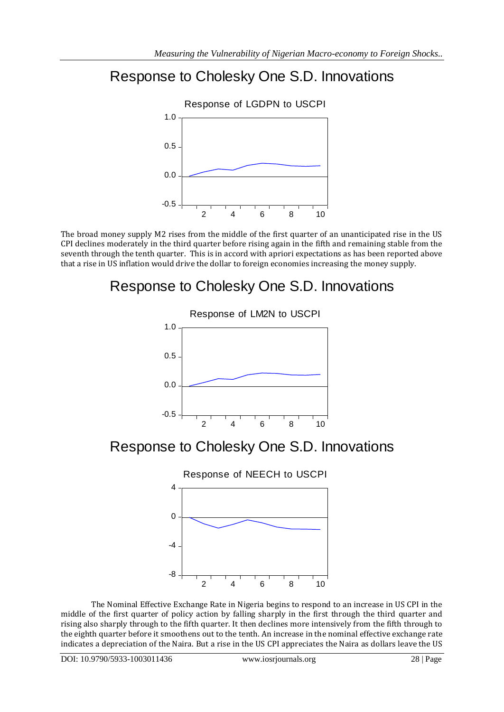# Response to Cholesky One S.D. Innovations



The broad money supply M2 rises from the middle of the first quarter of an unanticipated rise in the US CPI declines moderately in the third quarter before rising again in the fifth and remaining stable from the seventh through the tenth quarter. This is in accord with apriori expectations as has been reported above that a rise in US inflation would drive the dollar to foreign economies increasing the money supply.

# Response to Cholesky One S.D. Innovations



Response to Cholesky One S.D. Innovations



The Nominal Effective Exchange Rate in Nigeria begins to respond to an increase in US CPI in the middle of the first quarter of policy action by falling sharply in the first through the third quarter and rising also sharply through to the fifth quarter. It then declines more intensively from the fifth through to the eighth quarter before it smoothens out to the tenth. An increase in the nominal effective exchange rate indicates a depreciation of the Naira. But a rise in the US CPI appreciates the Naira as dollars leave the US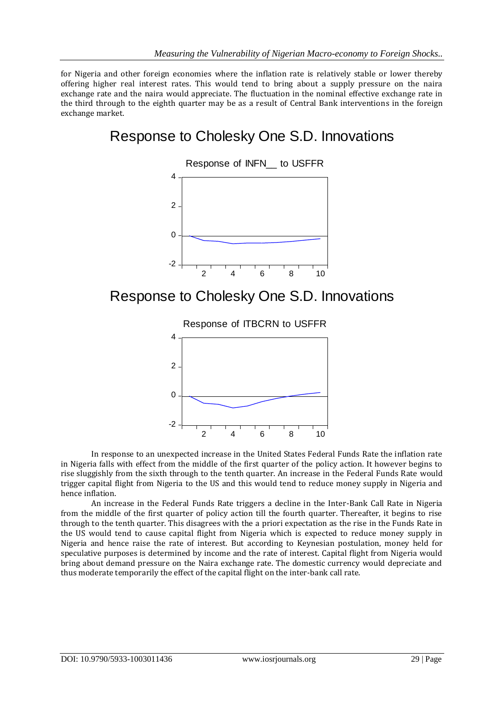for Nigeria and other foreign economies where the inflation rate is relatively stable or lower thereby offering higher real interest rates. This would tend to bring about a supply pressure on the naira exchange rate and the naira would appreciate. The fluctuation in the nominal effective exchange rate in the third through to the eighth quarter may be as a result of Central Bank interventions in the foreign exchange market.

# Response to Cholesky One S.D. Innovations



## Response to Cholesky One S.D. Innovations



In response to an unexpected increase in the United States Federal Funds Rate the inflation rate in Nigeria falls with effect from the middle of the first quarter of the policy action. It however begins to rise sluggishly from the sixth through to the tenth quarter. An increase in the Federal Funds Rate would trigger capital flight from Nigeria to the US and this would tend to reduce money supply in Nigeria and hence inflation.

An increase in the Federal Funds Rate triggers a decline in the Inter-Bank Call Rate in Nigeria from the middle of the first quarter of policy action till the fourth quarter. Thereafter, it begins to rise through to the tenth quarter. This disagrees with the a priori expectation as the rise in the Funds Rate in the US would tend to cause capital flight from Nigeria which is expected to reduce money supply in Nigeria and hence raise the rate of interest. But according to Keynesian postulation, money held for speculative purposes is determined by income and the rate of interest. Capital flight from Nigeria would bring about demand pressure on the Naira exchange rate. The domestic currency would depreciate and thus moderate temporarily the effect of the capital flight on the inter-bank call rate.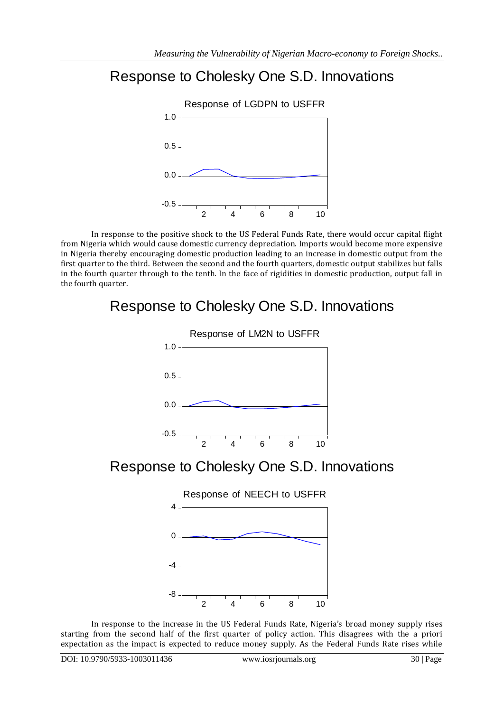# Response to Cholesky One S.D. Innovations



In response to the positive shock to the US Federal Funds Rate, there would occur capital flight from Nigeria which would cause domestic currency depreciation. Imports would become more expensive in Nigeria thereby encouraging domestic production leading to an increase in domestic output from the first quarter to the third. Between the second and the fourth quarters, domestic output stabilizes but falls in the fourth quarter through to the tenth. In the face of rigidities in domestic production, output fall in the fourth quarter.

# Response to Cholesky One S.D. Innovations



# Response to Cholesky One S.D. Innovations



In response to the increase in the US Federal Funds Rate, Nigeria's broad money supply rises starting from the second half of the first quarter of policy action. This disagrees with the a priori expectation as the impact is expected to reduce money supply. As the Federal Funds Rate rises while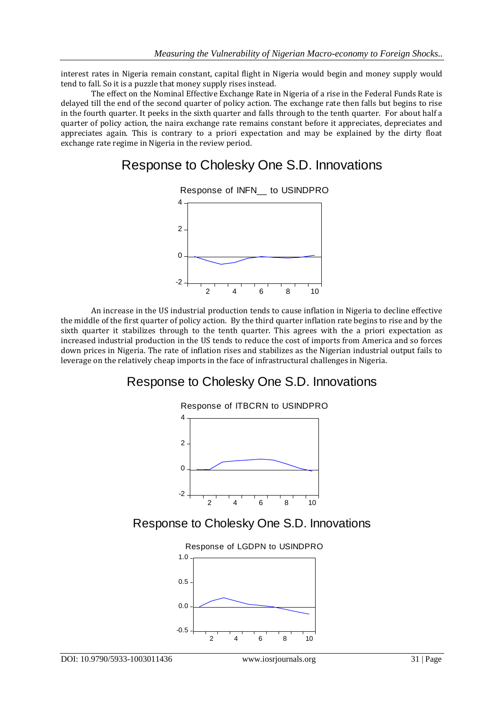interest rates in Nigeria remain constant, capital flight in Nigeria would begin and money supply would tend to fall. So it is a puzzle that money supply rises instead.

The effect on the Nominal Effective Exchange Rate in Nigeria of a rise in the Federal Funds Rate is delayed till the end of the second quarter of policy action. The exchange rate then falls but begins to rise in the fourth quarter. It peeks in the sixth quarter and falls through to the tenth quarter. For about half a quarter of policy action, the naira exchange rate remains constant before it appreciates, depreciates and appreciates again. This is contrary to a priori expectation and may be explained by the dirty float exchange rate regime in Nigeria in the review period.

## Response to Cholesky One S.D. Innovations



An increase in the US industrial production tends to cause inflation in Nigeria to decline effective the middle of the first quarter of policy action. By the third quarter inflation rate begins to rise and by the sixth quarter it stabilizes through to the tenth quarter. This agrees with the a priori expectation as increased industrial production in the US tends to reduce the cost of imports from America and so forces down prices in Nigeria. The rate of inflation rises and stabilizes as the Nigerian industrial output fails to leverage on the relatively cheap imports in the face of infrastructural challenges in Nigeria.

## Response to Cholesky One S.D. Innovations



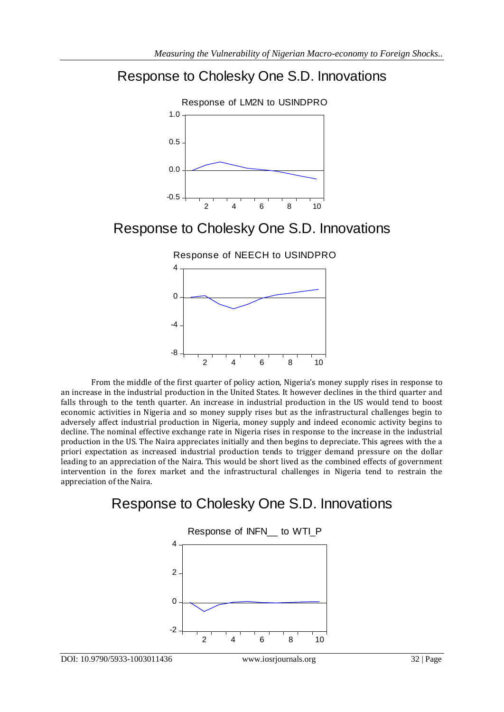## Response to Cholesky One S.D. Innovations



## Response to Cholesky One S.D. Innovations





From the middle of the first quarter of policy action, Nigeria's money supply rises in response to an increase in the industrial production in the United States. It however declines in the third quarter and falls through to the tenth quarter. An increase in industrial production in the US would tend to boost economic activities in Nigeria and so money supply rises but as the infrastructural challenges begin to adversely affect industrial production in Nigeria, money supply and indeed economic activity begins to decline. The nominal effective exchange rate in Nigeria rises in response to the increase in the industrial production in the US. The Naira appreciates initially and then begins to depreciate. This agrees with the a priori expectation as increased industrial production tends to trigger demand pressure on the dollar leading to an appreciation of the Naira. This would be short lived as the combined effects of government intervention in the forex market and the infrastructural challenges in Nigeria tend to restrain the appreciation of the Naira.

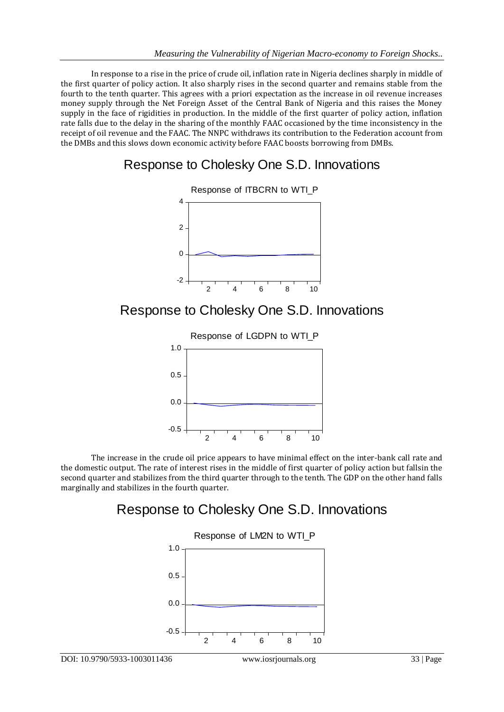In response to a rise in the price of crude oil, inflation rate in Nigeria declines sharply in middle of the first quarter of policy action. It also sharply rises in the second quarter and remains stable from the fourth to the tenth quarter. This agrees with a priori expectation as the increase in oil revenue increases money supply through the Net Foreign Asset of the Central Bank of Nigeria and this raises the Money supply in the face of rigidities in production. In the middle of the first quarter of policy action, inflation rate falls due to the delay in the sharing of the monthly FAAC occasioned by the time inconsistency in the receipt of oil revenue and the FAAC. The NNPC withdraws its contribution to the Federation account from the DMBs and this slows down economic activity before FAAC boosts borrowing from DMBs.

## Response to Cholesky One S.D. Innovations



Response to Cholesky One S.D. Innovations



The increase in the crude oil price appears to have minimal effect on the inter-bank call rate and the domestic output. The rate of interest rises in the middle of first quarter of policy action but fallsin the second quarter and stabilizes from the third quarter through to the tenth. The GDP on the other hand falls marginally and stabilizes in the fourth quarter.

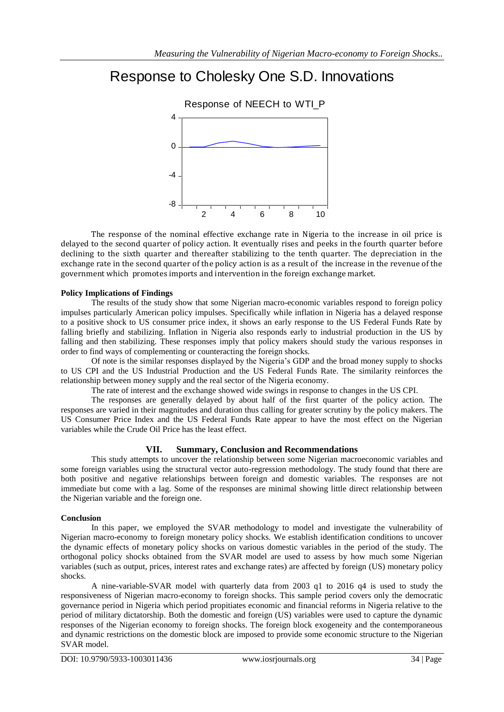# Response to Cholesky One S.D. Innovations



The response of the nominal effective exchange rate in Nigeria to the increase in oil price is delayed to the second quarter of policy action. It eventually rises and peeks in the fourth quarter before declining to the sixth quarter and thereafter stabilizing to the tenth quarter. The depreciation in the exchange rate in the second quarter of the policy action is as a result of the increase in the revenue of the government which promotes imports and intervention in the foreign exchange market.

### **Policy Implications of Findings**

The results of the study show that some Nigerian macro-economic variables respond to foreign policy impulses particularly American policy impulses. Specifically while inflation in Nigeria has a delayed response to a positive shock to US consumer price index, it shows an early response to the US Federal Funds Rate by falling briefly and stabilizing. Inflation in Nigeria also responds early to industrial production in the US by falling and then stabilizing. These responses imply that policy makers should study the various responses in order to find ways of complementing or counteracting the foreign shocks.

Of note is the similar responses displayed by the Nigeria"s GDP and the broad money supply to shocks to US CPI and the US Industrial Production and the US Federal Funds Rate. The similarity reinforces the relationship between money supply and the real sector of the Nigeria economy.

The rate of interest and the exchange showed wide swings in response to changes in the US CPI.

The responses are generally delayed by about half of the first quarter of the policy action. The responses are varied in their magnitudes and duration thus calling for greater scrutiny by the policy makers. The US Consumer Price Index and the US Federal Funds Rate appear to have the most effect on the Nigerian variables while the Crude Oil Price has the least effect.

### **VII. Summary, Conclusion and Recommendations**

This study attempts to uncover the relationship between some Nigerian macroeconomic variables and some foreign variables using the structural vector auto-regression methodology. The study found that there are both positive and negative relationships between foreign and domestic variables. The responses are not immediate but come with a lag. Some of the responses are minimal showing little direct relationship between the Nigerian variable and the foreign one.

### **Conclusion**

In this paper, we employed the SVAR methodology to model and investigate the vulnerability of Nigerian macro-economy to foreign monetary policy shocks. We establish identification conditions to uncover the dynamic effects of monetary policy shocks on various domestic variables in the period of the study. The orthogonal policy shocks obtained from the SVAR model are used to assess by how much some Nigerian variables (such as output, prices, interest rates and exchange rates) are affected by foreign (US) monetary policy shocks.

A nine-variable-SVAR model with quarterly data from 2003 q1 to 2016 q4 is used to study the responsiveness of Nigerian macro-economy to foreign shocks. This sample period covers only the democratic governance period in Nigeria which period propitiates economic and financial reforms in Nigeria relative to the period of military dictatorship. Both the domestic and foreign (US) variables were used to capture the dynamic responses of the Nigerian economy to foreign shocks. The foreign block exogeneity and the contemporaneous and dynamic restrictions on the domestic block are imposed to provide some economic structure to the Nigerian SVAR model.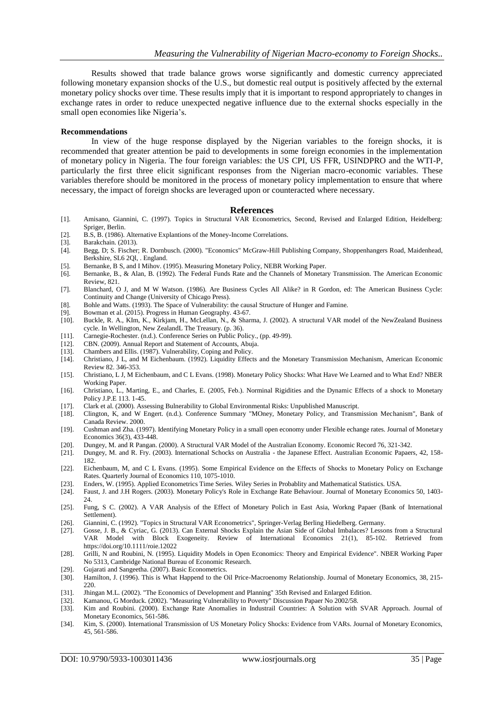Results showed that trade balance grows worse significantly and domestic currency appreciated following monetary expansion shocks of the U.S., but domestic real output is positively affected by the external monetary policy shocks over time. These results imply that it is important to respond appropriately to changes in exchange rates in order to reduce unexpected negative influence due to the external shocks especially in the small open economies like Nigeria's.

### **Recommendations**

In view of the huge response displayed by the Nigerian variables to the foreign shocks, it is recommended that greater attention be paid to developments in some foreign economies in the implementation of monetary policy in Nigeria. The four foreign variables: the US CPI, US FFR, USINDPRO and the WTI-P, particularly the first three elicit significant responses from the Nigerian macro-economic variables. These variables therefore should be monitored in the process of monetary policy implementation to ensure that where necessary, the impact of foreign shocks are leveraged upon or counteracted where necessary.

#### **References**

- [1]. Amisano, Giannini, C. (1997). Topics in Structural VAR Econometrics, Second, Revised and Enlarged Edition, Heidelberg: Spriger, Berlin.
- [2]. B.S, B. (1986). Alternative Explantions of the Money-Income Correlations.
- [3]. Barakchain. (2013).
- [4]. Begg, D; S. Fischer; R. Dornbusch. (2000). "Economics" McGraw-Hill Publishing Company, Shoppenhangers Road, Maidenhead, Berkshire, SL6 2Ql, . England.
- [5]. Bernanke, B S, and I Mihov. (1995). Measuring Monetary Policy, NEBR Working Paper. [6]. Bernanke, B., & Alan, B. (1992). The Federal Funds Rate and the Channels of Monetar
- [6]. Bernanke, B., & Alan, B. (1992). The Federal Funds Rate and the Channels of Monetary Transmission. The American Economic Review, 821.
- [7]. Blanchard, O J, and M W Watson. (1986). Are Business Cycles All Alike? in R Gordon, ed: The American Business Cycle: Continuity and Change (University of Chicago Press).
- [8]. Bohle and Watts. (1993). The Space of Vulnerability: the causal Structure of Hunger and Famine.
- [9]. Bowman et al. (2015). Progress in Human Geography. 43-67.<br>[10]. Buckle, R. A., Klm, K., Kirkjam, H., McLellan, N., & Shar
- [10]. Buckle, R. A., KIm, K., Kirkjam, H., McLellan, N., & Sharma, J. (2002). A structural VAR model of the NewZealand Business cycle. In Wellington, New ZealandL The Treasury. (p. 36).
- [11]. Carnegie-Rochester. (n.d.). Conference Series on Public Policy., (pp. 49-99).
- [12]. CBN. (2009). Annual Report and Statement of Accounts, Abuja.
- [13]. Chambers and Ellis. (1987). Vulnerability, Coping and Policy.
- [14]. Christiano, J L, and M Eichenbaum. (1992). Liquidity Effects and the Monetary Transmission Mechanism, American Economic Review 82. 346-353.
- [15]. Christiano, L J, M Eichenbaum, and C L Evans. (1998). Monetary Policy Shocks: What Have We Learned and to What End? NBER Working Paper.
- [16]. Christiano, L., Marting, E., and Charles, E. (2005, Feb.). Norminal Rigidities and the Dynamic Effects of a shock to Monetary Policy J.P.E 113. 1-45.
- [17]. Clark et al. (2000). Assessing Bulnerability to Global Environmental Risks: Unpublished Manuscript.
- [18]. Clington, K, and W Engert. (n.d.). Conference Summary "MOney, Monetary Policy, and Transmission Mechanism", Bank of Canada Review. 2000.
- [19]. Cushman and Zha. (1997). Identifying Monetary Policy in a small open economy under Flexible echange rates. Journal of Monetary Economics 36(3), 433-448.
- [20]. Dungey, M. and R Pangan. (2000). A Structural VAR Model of the Australian Economy. Economic Record 76, 321-342.
- [21]. Dungey, M. and R. Fry. (2003). International Schocks on Australia the Japanese Effect. Australian Economic Papaers, 42, 158- 182.
- [22]. Eichenbaum, M, and C L Evans. (1995). Some Empirical Evidence on the Effects of Shocks to Monetary Policy on Exchange Rates. Quarterly Journal of Economics 110, 1075-1010.
- [23]. Enders, W. (1995). Applied Econometrics Time Series. Wiley Series in Probablity and Mathematical Statistics. USA. [24]. Faust, J. and J.H Rogers. (2003). Monetary Policy's Role in Exchange Rate Behaviour. Journal of
- Faust, J. and J.H Rogers. (2003). Monetary Policy's Role in Exchange Rate Behaviour. Journal of Monetary Economics 50, 1403- $24.$
- [25]. Fung, S C. (2002). A VAR Analysis of the Effect of Monetary Polich in East Asia, Workng Papaer (Bank of International Settlement).
- [26]. Giannini, C. (1992). "Topics in Structural VAR Econometrics", Springer-Verlag Berling Hiedelberg. Germany.
- [27]. Gosse, J. B., & Cyriac, G. (2013). Can External Shocks Explain the Asian Side of Global Imbalaces? Lessons from a Structural VAR Model with Block Exogeneity. Review of International Economics 21(1), 85-102. Retrieved from https://doi.org/10.1111/roie.12022
- [28]. Grilli, N and Roubini, N. (1995). Liquidity Models in Open Economics: Theory and Empirical Evidence". NBER Working Paper No 5313, Cambridge National Bureau of Economic Research.
- [29]. Gujarati and Sangeetha. (2007). Basic Econometrics.<br>[30]. Hamilton, J. (1996). This is What Happend to the C
- Hamilton, J. (1996). This is What Happend to the Oil Price-Macroenomy Relationship. Journal of Monetary Economics, 38, 215-220.
- [31]. Jhingan M.L. (2002). "The Economics of Development and Planning" 35th Revised and Enlarged Edition.
- [32]. Kamanou, G Morduck. (2002). "Measuring Vulnerability to Poverty" Discussion Papaer No 2002/58.
- [33]. Kim and Roubini. (2000). Exchange Rate Anomalies in Industrail Countries: A Solution with SVAR Approach. Journal of Monetary Economics, 561-586.
- [34]. Kim, S. (2000). International Transmission of US Monetary Policy Shocks: Evidence from VARs. Journal of Monetary Economics, 45, 561-586.